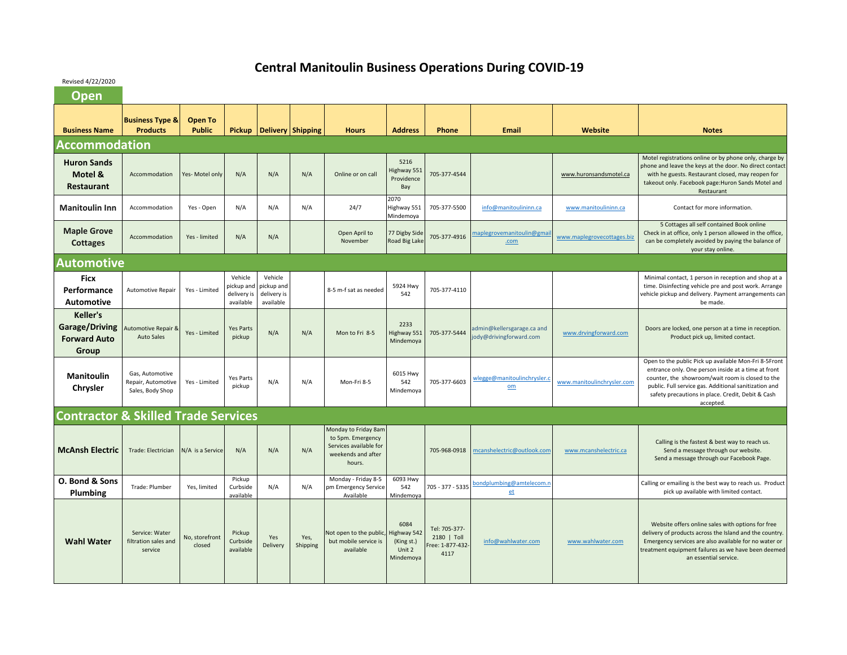## **Central Manitoulin Business Operations During COVID‐19**

Revised 4/22/2020

| <b>Open</b>                                                              |                                                           |                          |                                                   |                                                   |                          |                                                                                                     |                                                          |                                                          |                                                       |                            |                                                                                                                                                                                                                                                                                             |
|--------------------------------------------------------------------------|-----------------------------------------------------------|--------------------------|---------------------------------------------------|---------------------------------------------------|--------------------------|-----------------------------------------------------------------------------------------------------|----------------------------------------------------------|----------------------------------------------------------|-------------------------------------------------------|----------------------------|---------------------------------------------------------------------------------------------------------------------------------------------------------------------------------------------------------------------------------------------------------------------------------------------|
| <b>Business Name</b>                                                     | <b>Business Type &amp;</b><br><b>Products</b>             | Open To<br><b>Public</b> | <b>Pickup</b>                                     |                                                   | <b>Delivery Shipping</b> | <b>Hours</b>                                                                                        | <b>Address</b>                                           | Phone                                                    | <b>Email</b>                                          | Website                    | <b>Notes</b>                                                                                                                                                                                                                                                                                |
| <b>Accommodation</b>                                                     |                                                           |                          |                                                   |                                                   |                          |                                                                                                     |                                                          |                                                          |                                                       |                            |                                                                                                                                                                                                                                                                                             |
| <b>Huron Sands</b><br>Motel &<br>Restaurant                              | Accommodation                                             | Yes-Motel only           | N/A                                               | N/A                                               | N/A                      | Online or on call                                                                                   | 5216<br>Highway 551<br>Providence<br>Bay                 | 705-377-4544                                             |                                                       | www.huronsandsmotel.ca     | Motel registrations online or by phone only, charge by<br>phone and leave the keys at the door. No direct contact<br>with he guests. Restaurant closed, may reopen for<br>takeout only. Facebook page: Huron Sands Motel and<br>Restaurant                                                  |
| <b>Manitoulin Inn</b>                                                    | Accommodation                                             | Yes - Open               | N/A                                               | N/A                                               | N/A                      | 24/7                                                                                                | 2070<br>Highway 551<br>Mindemoya                         | 705-377-5500                                             | info@manitoulininn.ca                                 | www.manitoulininn.ca       | Contact for more information.                                                                                                                                                                                                                                                               |
| <b>Maple Grove</b><br><b>Cottages</b>                                    | Accommodation                                             | Yes - limited            | N/A                                               | N/A                                               |                          | Open April to<br>November                                                                           | 77 Digby Side<br>Road Big Lak                            | 705-377-4916                                             | naplegrovemanitoulin@gma<br>.com                      | www.maplegrovecottages.biz | 5 Cottages all self contained Book online<br>Check in at office, only 1 person allowed in the office,<br>can be completely avoided by paying the balance of<br>your stay online.                                                                                                            |
| <b>Automotive</b>                                                        |                                                           |                          |                                                   |                                                   |                          |                                                                                                     |                                                          |                                                          |                                                       |                            |                                                                                                                                                                                                                                                                                             |
| <b>Ficx</b><br>Performance<br><b>Automotive</b>                          | <b>Automotive Repair</b>                                  | Yes - Limited            | Vehicle<br>pickup and<br>delivery is<br>available | Vehicle<br>pickup and<br>delivery is<br>available |                          | 8-5 m-f sat as needed                                                                               | 5924 Hwy<br>542                                          | 705-377-4110                                             |                                                       |                            | Minimal contact, 1 person in reception and shop at a<br>time. Disinfecting vehicle pre and post work. Arrange<br>vehicle pickup and delivery. Payment arrangements can<br>be made.                                                                                                          |
| <b>Keller's</b><br><b>Garage/Driving</b><br><b>Forward Auto</b><br>Group | <b>Automotive Repair &amp;</b><br><b>Auto Sales</b>       | Yes - Limited            | <b>Yes Parts</b><br>pickup                        | N/A                                               | N/A                      | Mon to Fri 8-5                                                                                      | 2233<br>Highway 551<br>Mindemoya                         | 705-377-5444                                             | admin@kellersgarage.ca and<br>jody@drivingforward.com | www.drvingforward.com      | Doors are locked, one person at a time in reception.<br>Product pick up, limited contact.                                                                                                                                                                                                   |
| <b>Manitoulin</b><br>Chrysler                                            | Gas, Automotive<br>Repair, Automotive<br>Sales, Body Shop | Yes - Limited            | <b>Yes Parts</b><br>pickup                        | N/A                                               | N/A                      | Mon-Fri 8-5                                                                                         | 6015 Hwy<br>542<br>Mindemoya                             | 705-377-6603                                             | wlegge@manitoulinchrysler.o<br>$om$                   | www.manitoulinchrysler.com | Open to the public Pick up available Mon-Fri 8-5Front<br>entrance only. One person inside at a time at front<br>counter, the showroom/wait room is closed to the<br>public. Full service gas. Additional sanitization and<br>safety precautions in place. Credit, Debit & Cash<br>accepted. |
| <b>Contractor &amp; Skilled Trade Services</b>                           |                                                           |                          |                                                   |                                                   |                          |                                                                                                     |                                                          |                                                          |                                                       |                            |                                                                                                                                                                                                                                                                                             |
| <b>McAnsh Electric</b>                                                   | Trade: Electrician                                        | N/A is a Service         | N/A                                               | N/A                                               | N/A                      | Monday to Friday 8am<br>to 5pm. Emergency<br>Services available for<br>weekends and after<br>hours. |                                                          | 705-968-0918                                             | mcanshelectric@outlook.com                            | www.mcanshelectric.ca      | Calling is the fastest & best way to reach us.<br>Send a message through our website.<br>Send a message through our Facebook Page.                                                                                                                                                          |
| O. Bond & Sons<br>Plumbing                                               | Trade: Plumber                                            | Yes, limited             | Pickup<br>Curbside<br>available                   | N/A                                               | N/A                      | Monday - Friday 8-5<br>pm Emergency Service<br>Available                                            | 6093 Hwy<br>542<br>Mindemoya                             | 705 - 377 - 5335                                         | bondplumbing@amtelecom.r<br>et                        |                            | Calling or emailing is the best way to reach us. Product<br>pick up available with limited contact.                                                                                                                                                                                         |
| <b>Wahl Water</b>                                                        | Service: Water<br>filtration sales and<br>service         | No, storefront<br>closed | Pickup<br>Curbside<br>available                   | Yes<br>Delivery                                   | Yes,<br>Shipping         | Not open to the public,<br>but mobile service is<br>available                                       | 6084<br>lighway 542<br>(King st.)<br>Unit 2<br>Mindemoya | Tel: 705-377-<br>2180   Toll<br>Free: 1-877-432-<br>4117 | info@wahlwater.com                                    | www.wahlwater.com          | Website offers online sales with options for free<br>delivery of products across the Island and the country.<br>Emergency services are also available for no water or<br>treatment equipment failures as we have been deemed<br>an essential service.                                       |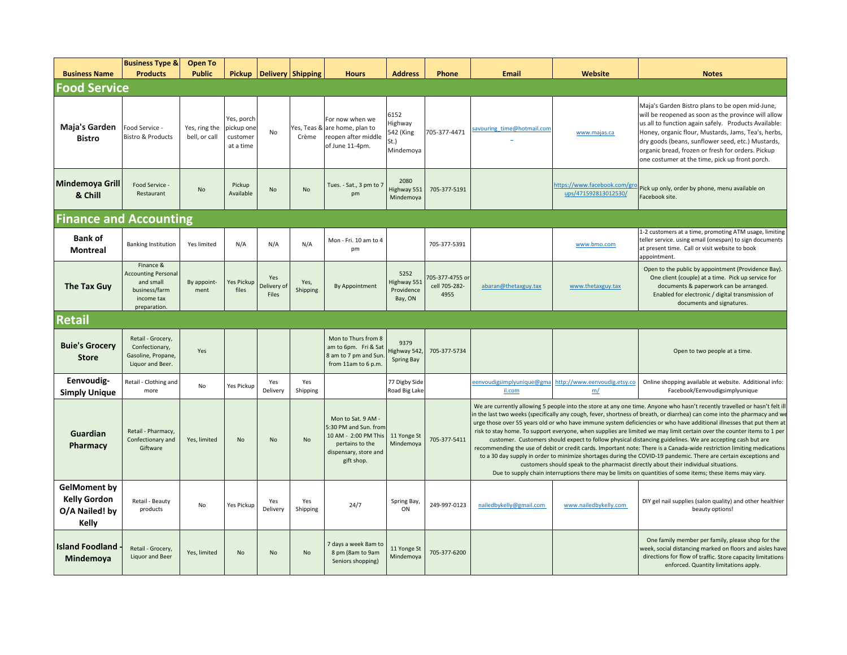| <b>Business Name</b>                                                  | <b>Business Type &amp;</b><br><b>Products</b>                                                       | <b>Open To</b><br><b>Public</b> | <b>Pickup</b>                                     |                             | Delivery Shipping    | <b>Hours</b>                                                                                                                  | <b>Address</b>                                    | <b>Phone</b>                             | Email                                                                                                                                                                                                                                                                                                                                                                                                                                                                                                                                                                                                                                                                                                                                                                                                                                                                                                                                                                                                                                                                     | Website                                              | <b>Notes</b>                                                                                                                                                                                                                                                                                                                                                                      |  |  |
|-----------------------------------------------------------------------|-----------------------------------------------------------------------------------------------------|---------------------------------|---------------------------------------------------|-----------------------------|----------------------|-------------------------------------------------------------------------------------------------------------------------------|---------------------------------------------------|------------------------------------------|---------------------------------------------------------------------------------------------------------------------------------------------------------------------------------------------------------------------------------------------------------------------------------------------------------------------------------------------------------------------------------------------------------------------------------------------------------------------------------------------------------------------------------------------------------------------------------------------------------------------------------------------------------------------------------------------------------------------------------------------------------------------------------------------------------------------------------------------------------------------------------------------------------------------------------------------------------------------------------------------------------------------------------------------------------------------------|------------------------------------------------------|-----------------------------------------------------------------------------------------------------------------------------------------------------------------------------------------------------------------------------------------------------------------------------------------------------------------------------------------------------------------------------------|--|--|
| <b>Food Service</b>                                                   |                                                                                                     |                                 |                                                   |                             |                      |                                                                                                                               |                                                   |                                          |                                                                                                                                                                                                                                                                                                                                                                                                                                                                                                                                                                                                                                                                                                                                                                                                                                                                                                                                                                                                                                                                           |                                                      |                                                                                                                                                                                                                                                                                                                                                                                   |  |  |
| Maja's Garden<br><b>Bistro</b>                                        | Food Service -<br><b>Bistro &amp; Products</b>                                                      | Yes, ring the<br>bell, or call  | Yes, porch<br>pickup one<br>customer<br>at a time | No                          | Yes, Teas &<br>Crème | For now when we<br>are home, plan to<br>reopen after middle<br>of June 11-4pm.                                                | 6152<br>Highway<br>542 (King<br>St.)<br>Mindemoya | 705-377-4471                             | savouring time@hotmail.com                                                                                                                                                                                                                                                                                                                                                                                                                                                                                                                                                                                                                                                                                                                                                                                                                                                                                                                                                                                                                                                | www.majas.ca                                         | Maja's Garden Bistro plans to be open mid-June,<br>will be reopened as soon as the province will allow<br>us all to function again safely. Products Available:<br>Honey, organic flour, Mustards, Jams, Tea's, herbs,<br>dry goods (beans, sunflower seed, etc.) Mustards,<br>organic bread, frozen or fresh for orders. Pickup<br>one costumer at the time, pick up front porch. |  |  |
| Mindemoya Grill<br>& Chill                                            | Food Service -<br>Restaurant                                                                        | No                              | Pickup<br>Available                               | <b>No</b>                   | <b>No</b>            | Tues. - Sat., 3 pm to 7<br>pm                                                                                                 | 2080<br>lighway 551<br>Mindemoya                  | 705-377-5191                             |                                                                                                                                                                                                                                                                                                                                                                                                                                                                                                                                                                                                                                                                                                                                                                                                                                                                                                                                                                                                                                                                           | https://www.facebook.com/gro<br>ups/471592813012530/ | Pick up only, order by phone, menu available on<br>Facebook site.                                                                                                                                                                                                                                                                                                                 |  |  |
| <b>Finance and Accounting</b>                                         |                                                                                                     |                                 |                                                   |                             |                      |                                                                                                                               |                                                   |                                          |                                                                                                                                                                                                                                                                                                                                                                                                                                                                                                                                                                                                                                                                                                                                                                                                                                                                                                                                                                                                                                                                           |                                                      |                                                                                                                                                                                                                                                                                                                                                                                   |  |  |
| <b>Bank of</b><br><b>Montreal</b>                                     | <b>Banking Institution</b>                                                                          | Yes limited                     | N/A                                               | N/A                         | N/A                  | Mon - Fri. 10 am to 4<br>pm                                                                                                   |                                                   | 705-377-5391                             |                                                                                                                                                                                                                                                                                                                                                                                                                                                                                                                                                                                                                                                                                                                                                                                                                                                                                                                                                                                                                                                                           | www.bmo.com                                          | 1-2 customers at a time, promoting ATM usage, limiting<br>teller service. using email (onespan) to sign documents<br>at present time. Call or visit website to book<br>appointment.                                                                                                                                                                                               |  |  |
| The Tax Guy                                                           | Finance &<br><b>Accounting Personal</b><br>and small<br>business/farm<br>income tax<br>preparation. | By appoint-<br>ment             | Yes Pickup<br>files                               | Yes<br>Delivery of<br>Files | Yes,<br>Shipping     | By Appointment                                                                                                                | 5252<br>lighway 551<br>Providence<br>Bay, ON      | 705-377-4755 or<br>cell 705-282-<br>4955 | abaran@thetaxguy.tax                                                                                                                                                                                                                                                                                                                                                                                                                                                                                                                                                                                                                                                                                                                                                                                                                                                                                                                                                                                                                                                      | www.thetaxguy.tax                                    | Open to the public by appointment (Providence Bay).<br>One client (couple) at a time. Pick up service for<br>documents & paperwork can be arranged.<br>Enabled for electronic / digital transmission of<br>documents and signatures.                                                                                                                                              |  |  |
| <b>Retail</b>                                                         |                                                                                                     |                                 |                                                   |                             |                      |                                                                                                                               |                                                   |                                          |                                                                                                                                                                                                                                                                                                                                                                                                                                                                                                                                                                                                                                                                                                                                                                                                                                                                                                                                                                                                                                                                           |                                                      |                                                                                                                                                                                                                                                                                                                                                                                   |  |  |
| <b>Buie's Grocery</b><br><b>Store</b>                                 | Retail - Grocery,<br>Confectionary,<br>Gasoline, Propane,<br>Liquor and Beer.                       | Yes                             |                                                   |                             |                      | Mon to Thurs from 8<br>am to 6pm. Fri & Sat<br>8 am to 7 pm and Sun<br>from 11am to 6 p.m.                                    | 9379<br>lighway 542<br>Spring Bay                 | 705-377-5734                             |                                                                                                                                                                                                                                                                                                                                                                                                                                                                                                                                                                                                                                                                                                                                                                                                                                                                                                                                                                                                                                                                           |                                                      | Open to two people at a time.                                                                                                                                                                                                                                                                                                                                                     |  |  |
| Eenvoudig-<br><b>Simply Unique</b>                                    | Retail - Clothing and<br>more                                                                       | No                              | Yes Pickup                                        | Yes<br>Delivery             | Yes<br>Shipping      |                                                                                                                               | 77 Digby Side<br>Road Big Lake                    |                                          | eenvoudigsimplyunique@gma<br>il.com                                                                                                                                                                                                                                                                                                                                                                                                                                                                                                                                                                                                                                                                                                                                                                                                                                                                                                                                                                                                                                       | http://www.eenvoudig.etsy.co<br>m/                   | Online shopping available at website. Additional info:<br>Facebook/Eenvoudigsimplyunique                                                                                                                                                                                                                                                                                          |  |  |
| Guardian<br><b>Pharmacy</b>                                           | Retail - Pharmacy,<br>Confectionary and<br>Giftware                                                 | Yes, limited                    | <b>No</b>                                         | No                          | <b>No</b>            | Mon to Sat. 9 AM -<br>5:30 PM and Sun. from<br>10 AM - 2:00 PM This<br>pertains to the<br>dispensary, store and<br>gift shop. | 11 Yonge St<br>Mindemoya                          | 705-377-5411                             | We are currently allowing 5 people into the store at any one time. Anyone who hasn't recently travelled or hasn't felt ill<br>in the last two weeks (specifically any cough, fever, shortness of breath, or diarrhea) can come into the pharmacy and we<br>urge those over 55 years old or who have immune system deficiencies or who have additional illnesses that put them at<br>risk to stay home. To support everyone, when supplies are limited we may limit certain over the counter items to 1 per<br>customer. Customers should expect to follow physical distancing guidelines. We are accepting cash but are<br>recommending the use of debit or credit cards. Important note: There is a Canada-wide restriction limiting medications<br>to a 30 day supply in order to minimize shortages during the COVID-19 pandemic. There are certain exceptions and<br>customers should speak to the pharmacist directly about their individual situations.<br>Due to supply chain interruptions there may be limits on quantities of some items; these items may vary. |                                                      |                                                                                                                                                                                                                                                                                                                                                                                   |  |  |
| <b>GelMoment by</b><br><b>Kelly Gordon</b><br>O/A Nailed! by<br>Kelly | Retail - Beauty<br>products                                                                         | No                              | Yes Pickup                                        | Yes<br>Delivery             | Yes<br>Shipping      | 24/7                                                                                                                          | Spring Bay<br>ON                                  | 249-997-0123                             | nailedbykelly@gmail.com                                                                                                                                                                                                                                                                                                                                                                                                                                                                                                                                                                                                                                                                                                                                                                                                                                                                                                                                                                                                                                                   | www.nailedbykelly.com                                | DIY gel nail supplies (salon quality) and other healthier<br>beauty options!                                                                                                                                                                                                                                                                                                      |  |  |
| <b>Island Foodland</b><br>Mindemoya                                   | Retail - Grocery,<br>Liquor and Beer                                                                | Yes. limited                    | <b>No</b>                                         | <b>No</b>                   | <b>No</b>            | 7 days a week 8am to<br>8 pm (8am to 9am<br>Seniors shopping)                                                                 | 11 Yonge St<br>Mindemoya                          | 705-377-6200                             |                                                                                                                                                                                                                                                                                                                                                                                                                                                                                                                                                                                                                                                                                                                                                                                                                                                                                                                                                                                                                                                                           |                                                      | One family member per family, please shop for the<br>week, social distancing marked on floors and aisles have<br>directions for flow of traffic. Store capacity limitations<br>enforced. Quantity limitations apply.                                                                                                                                                              |  |  |